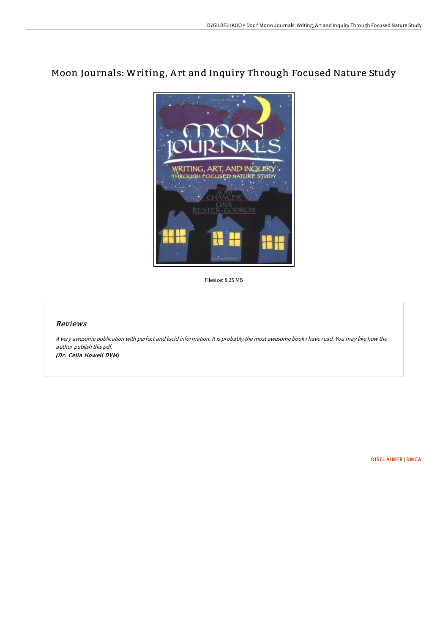## Moon Journals: Writing, A rt and Inquiry Through Focused Nature Study



Filesize: 8.25 MB

## Reviews

A very awesome publication with perfect and lucid information. It is probably the most awesome book i have read. You may like how the author publish this pdf.

(Dr. Celia Howell DVM)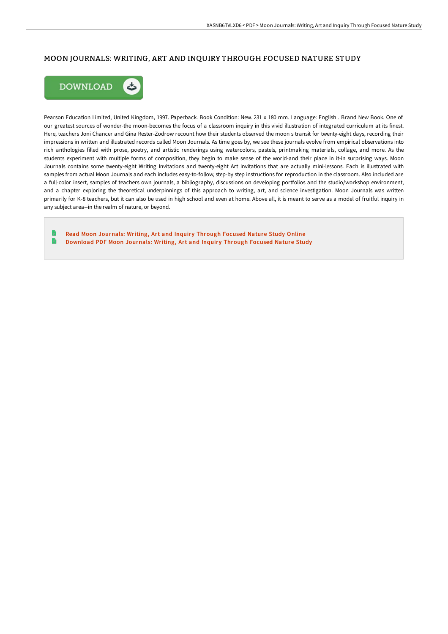## MOON JOURNALS: WRITING, ART AND INQUIRY THROUGH FOCUSED NATURE STUDY



Pearson Education Limited, United Kingdom, 1997. Paperback. Book Condition: New. 231 x 180 mm. Language: English . Brand New Book. One of our greatest sources of wonder-the moon-becomes the focus of a classroom inquiry in this vivid illustration of integrated curriculum at its finest. Here, teachers Joni Chancer and Gina Rester-Zodrow recount how their students observed the moon s transit for twenty-eight days, recording their impressions in written and illustrated records called Moon Journals. As time goes by, we see these journals evolve from empirical observations into rich anthologies filled with prose, poetry, and artistic renderings using watercolors, pastels, printmaking materials, collage, and more. As the students experiment with multiple forms of composition, they begin to make sense of the world-and their place in it-in surprising ways. Moon Journals contains some twenty-eight Writing Invitations and twenty-eight Art Invitations that are actually mini-lessons. Each is illustrated with samples from actual Moon Journals and each includes easy-to-follow, step-by step instructions for reproduction in the classroom. Also included are a full-color insert, samples of teachers own journals, a bibliography, discussions on developing portfolios and the studio/workshop environment, and a chapter exploring the theoretical underpinnings of this approach to writing, art, and science investigation. Moon Journals was written primarily for K-8 teachers, but it can also be used in high school and even at home. Above all, it is meant to serve as a model of fruitful inquiry in any subject area--in the realm of nature, or beyond.

Read Moon [Journals:](http://albedo.media/moon-journals-writing-art-and-inquiry-through-fo.html) Writing, Art and Inquiry Through Focused Nature Study Online  $\Rightarrow$ [Download](http://albedo.media/moon-journals-writing-art-and-inquiry-through-fo.html) PDF Moon Journals: Writing, Art and Inquiry Through Focused Nature Study